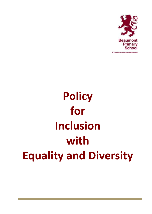

# **Policy for Inclusion with Equality and Diversity**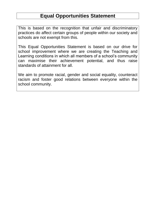# **Equal Opportunities Statement**

This is based on the recognition that unfair and discriminatory practices do affect certain groups of people within our society and schools are not exempt from this.

This Equal Opportunities Statement is based on our drive for school improvement where we are creating the Teaching and Learning conditions in which all members of a school's community can maximise their achievement potential, and thus raise standards of attainment for all.

We aim to promote racial, gender and social equality, counteract racism and foster good relations between everyone within the school community.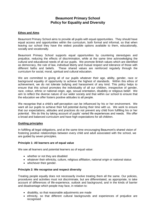### **Beaumont Primary School Policy for Equality and Diversity**

#### **Ethos and Aims**

Beaumont Primary School aims to provide all pupils with equal opportunities. They should have equal access and opportunities within the curriculum, both formal and informal, so that when leaving our school they have the widest possible options available to them, educationally, socially and vocationally.

Beaumont Primary School supports equal opportunities by countering stereotypes and prejudice, reducing the effects of discrimination, while at the same time acknowledging the cultural and educational needs of all our pupils. We promote British values which are identified as democracy, the rule of law, individual liberty and mutual respect and tolerance of those with different faiths and beliefs. These shared values are reinforced regularly through the These shared values are reinforced regularly through the curriculum for social, moral, spiritual and cultural education.

We are committed to giving all of our pupils whatever their age, ability, gender, race or background equality of opportunity to achieve the highest of standards. Within this ethos of achievement, we do not tolerate bullying and harassment of any kind. This policy helps to ensure that this school promotes the individuality of all our children, irrespective of gender, race, colour, ethnic or national origin, age, sexual orientation, disability or religious belief. We aim to reflect the diverse nature of our wider society and that within our school to ensure that the education we offer fosters positive attitudes to all people.

We recognise that a child's self-perception can be influenced by his or her environment. We want all our pupils to achieve their full potential during their time with us. We work to ensure that our expectations, attitudes and practices do not prevent any child from fulfilling his or her potential. We do this by taking account of pupils' varied life experiences and needs. We offer a broad and balanced curriculum and have high expectations for all children.

#### **Guiding principles**

In fulfilling all legal obligations, and at the same time encouraging Beaumont's shared vision of fostering positive relationships between every child and adult associated with the school, we are guided by seven principles.

#### **Principle 1: All learners are of equal value**

We see all learners and potential learners as of equal value:

- whether or not they are disabled
- whatever their ethnicity, culture, religious affiliation, national origin or national status
- whichever their gender.

#### **Principle 2: We recognise and respect diversity**

Treating people equally does not necessarily involve treating them all the same. Our policies, procedures and activities must not discriminate, but are differentiated, as appropriate, to take account of differences of life-experience, outlook and background, and in the kinds of barrier and disadvantage which people may face, in relation to:

- disability, so that reasonable adjustments are made
- ethnicity, so that different cultural backgrounds and experiences of prejudice are recognised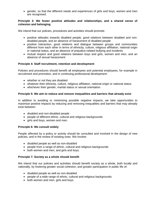gender, so that the different needs and experiences of girls and boys, women and men are recognised.

#### **Principle 3: We foster positive attitudes and relationships, and a shared sense of cohesion and belonging**

We intend that our policies, procedures and activities should promote:

- positive attitudes towards disabled people, good relations between disabled and nondisabled people, and an absence of harassment of disabled people
- positive interaction, good relations and dialogue between groups and communities different from each other in terms of ethnicity, culture, religious affiliation, national origin or national status, and an absence of prejudice-related bullying and incidents
- mutual respect and good relations between boys and girls, women and men, and an absence of sexual harassment

#### **Principle 4: Staff recruitment, retention and development**

Policies and procedures should benefit all employees and potential employees, for example in recruitment and promotion, and in continuing professional development:

- whether or not they are disabled
- whatever their ethnicity, culture, religious affiliation, national origin or national status
- whichever their gender, marital status or sexual orientation.

#### **Principle 5: We aim to reduce and remove inequalities and barriers that already exist**

In addition to avoiding or minimizing possible negative impacts, we take opportunities to maximize positive impacts by reducing and removing inequalities and barriers that may already exist between:

- disabled and non-disabled people
- people of different ethnic, cultural and religious backgrounds
- girls and boys, women and men.

#### **Principle 6: We consult widely**

People affected by a policy or activity should be consulted and involved in the design of new policies, and in the review of existing ones. We involve:

- disabled people as well as non-disabled
- people from a range of ethnic, cultural and religious backgrounds
- both women and men, and girls and boys.

#### **Principle 7: Society as a whole should benefit**

We intend that our policies and activities should benefit society as a whole, both locally and nationally, by fostering greater social cohesion, and greater participation in public life of:

- disabled people as well as non-disabled
- people of a wide range of ethnic, cultural and religious backgrounds
- both women and men, girls and boys.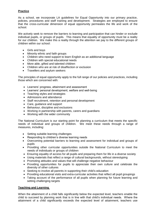#### **Practice**

As a school, we incorporate LA guidelines for Equal Opportunity into our primary practice, policies, procedures and staff training and development. Strategies are employed to ensure that the cross-curricular dimension of equal opportunity permeates the life and work of the school.

We actively seek to remove the barriers to learning and participation that can hinder or exclude individual pupils, or groups of pupils. This means that equality of opportunity must be a reality for our children. We make this a reality through the attention we pay to the different groups of children within our school:

- Girls and boys
- Minority ethnic and faith groups
- Children who need support to learn English as an additional language
- Children with special educational needs
- More able, gifted and talented children
- Children who are at risk of disaffection or exclusion
- Travellers and asylum seekers

The principles of equal opportunity apply to the full range of our policies and practices, including those which are concerned with:

- Learners' progress, attainment and assessment
- Learners' personal development, welfare and well-being
- Teaching styles and strategies
- Admissions and attendance
- Staff recruitment, retention and personal development
- Care, guidance and support
- Behaviour, discipline and exclusions
- Working in partnership with parents, carers and guardians
- Working with the wider community

The National Curriculum is our starting point for planning a curriculum that meets the specific needs of individual and groups of children. We meet these needs through a range of measures, including:

- Setting suitable learning challenges
- Responding to children's diverse learning needs
- Overcoming potential barriers to learning and assessment for individual and groups of pupils
- Providing other curricular opportunities outside the National Curriculum to meet the needs of individuals or groups of children
- Ensuring equality of access for all pupils and preparing them for life in a diverse society
- Using materials that reflect a range of cultural backgrounds, without stereotyping
- Promoting attitudes and values that will challenge negative behaviour
- Providing opportunities for pupils to appreciate their own culture and celebrate the diversity of other cultures
- Seeking to involve all parents in supporting their child's education
- Providing educational visits and extra-curricular activities that reflect all pupil groupings
- Taking account of the performance of all pupils when planning for future learning and setting challenging targets

#### **Teaching and Learning**

When the attainment of a child falls significantly below the expected level, teachers enable the child to succeed by planning work that is in line with that child's individual needs. Where the attainment of a child significantly exceeds the expected level of attainment, teachers use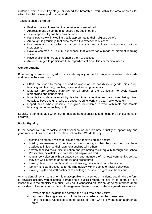materials from a later key stage, or extend the breadth of work within the area or areas for which the child shows particular aptitude.

Teachers ensure children:

- Feel secure and know that the contributions are valued
- Appreciate and value the differences they see in others
- Take responsibility for their own actions
- Participate safely, in clothing that is appropriate to their religious beliefs
- Are taught in groupings that allow them all to experience success
- Use materials that reflect a range of social and cultural backgrounds, without stereotyping
- Have a common curriculum experience that allows for a range of different learning styles
- Have challenging targets that enable them to succeed
- Are encouraged to participate fully, regardless of disabilities or medical needs

#### **Gender equality**

Boys and girls are encouraged to participate equally in the full range of activities both inside and outside the classroom.

- Efforts are made to recognise, and be aware of, the possibility of gender bias in our teaching and learning, teaching styles and learning materials.
- Materials are selected carefully for all areas of the Curriculum to avoid sexual stereotypes and gender bias.
- Impartiality is demonstrated by teacher time, attention and resources being given equally to boys and girls, who are encouraged to work and play freely together.
- Opportunities, where possible, are given for children to work with male and female teaching and non-teaching staff.

Equality is demonstrated when giving / delegating responsibility and noting the achievements of children.

#### **Racial Equality**

In the school we aim to tackle racial discrimination and promote equality of opportunity and good race relations across all aspects of school life. We do this by:

- creating an ethos in which pupils and staff feel valued and secure;
- building self-esteem and confidence in our pupils, so that they can then use these qualities to influence their own relationships with others;
- actively tackling racial discrimination and promoting racial equality through our School Prospectus, newsletters to parents and displays of work;
- regular consultation with parents/carers and members of the local community, so that they are well informed of our policy and procedures;
- making clear to our pupils what constitutes aggressive and racist behaviour;
- identifying clear procedures for dealing quickly with incidents of racist behaviour;
- making pupils and staff confident to challenge racist and aggressive behaviour.

Any incident of racial harassment is unacceptable in our school. Incidents could take the form of physical assault, verbal abuse, damage to a pupil's property or lack of co-operation in a lesson due to the ethnicity of a pupil. Any adult witnessing an incident or being informed about an incident will report it to the Senior Management Team who follow these agreed procedures:

- Investigate the incident and comfort the pupil who is the victim;
- reprimand the aggressor and inform the victim what action has been taken;
- if the incident is witnessed by other pupils, tell them why it is wrong at an appropriate time;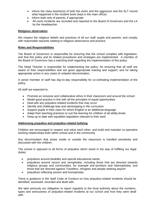- inform the class teacher(s) of both the victim and the aggressor and the SLT record what happened in the incident book (kept in the main office);
- inform both sets of parents, if appropriate.
- All racist incidents are recorded and reported to the Board of Governors and the LA by the Headteacher.

#### **Religious observation**

We respect the religious beliefs and practices of all our staff, pupils and parents; and comply with reasonable requests relating to religious observance and practice.

#### **Roles and Responsibilities**

The Board of Governors is responsible for ensuring that the school complies with legislation, and that this policy and its related procedures and strategies are implemented. A member of the Board of Governors has a watching brief regarding the implementation of this policy.

The Head Teacher is responsible for implementing the policy; for ensuring that all staff are aware of their responsibilities and are given appropriate training and support; and for taking appropriate action in any cases of unlawful discrimination.

A senior member of staff has day-to-day responsibility for co-ordinating implementation of the policy.

All staff are expected to:

- Promote an inclusive and collaborative ethos in their classroom and around the school
- Model good practice in line with all the principles of equal opportunities
- Deal with any prejudice-related incidents that may occur
- Identify and challenge bias and stereotyping in the curriculum
- Support pupils in their class for whom English is an additional language
- Adapt their teaching practices to suit the learning for children of all ability levels
- Keep up to date with equalities legislation relevant to their work

#### **Addressing prejudice and prejudice-related bullying**

Children are encouraged to respect and value each other, and build and maintain co-operative working relationships both within school and in the community

Any discrimination that arises inside or outside the classroom is handled sensitively and discussed with the children.

The school is opposed to all forms of prejudice which stand in the way of fulfilling our legal duties:

- prejudices around disability and special educational needs
- prejudices around racism and xenophobia, including those that are directed towards religious groups and communities, for example anti-semitism and Islamophobia, and those that are directed against Travellers, refugees and people seeking asylum
- prejudices reflecting sexism and homophobia.

There is guidance in the Staff Code of Conduct on how prejudice-related incidents should be identified, assessed, recorded and dealt with.

We take seriously our obligation to report regularly to the local authority about the numbers, types and seriousness of prejudice-related incidents at our school and how they were dealt with.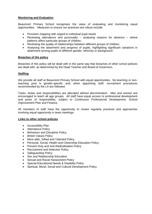#### **Monitoring and Evaluation**

Beaumont Primary School recognises the value of evaluating and monitoring equal opportunities. Measures to ensure our practices are robust include:

- Provision mapping with regard to individual pupil needs
- Reviewing attendance and punctuality analysing reasons for absence where patterns affect particular groups of children.
- Reviewing the quality of relationships between different groups of children.
- Analysing the attainment and progress of pupils, highlighting significant variations in attainment among pupils of different gender, ethnicity or background.

#### **Breaches of the policy**

Breaches of this policy will be dealt with in the same way that breaches of other school policies are dealt with, as determined by the Head Teacher and Board of Governors.

#### **Staffing**

We provide all staff at Beaumont Primary School with equal opportunities. No teaching or nonteaching post is gender-specific and, when appointing staff, recruitment procedures recommended by the LA are followed.

Tasks, duties and responsibilities are allocated without discrimination. Men and women are encouraged to teach all age groups. All staff have equal access to professional development and posts of responsibility, subject to Continuous Professional Development, School Improvement Plan and Finance.

All members of staff have the opportunity to review regularly practices and approaches involving equal opportunity in team meetings.

#### **Links to other school policies**

- Accessibility Plan
- Attendance Policy
- Behaviour and Discipline Policy
- British Values Policy
- More able, Gifted and Talented Policy
- Personal, Social, Health and Citizenship Education Policy
- Prevent Duty and Anti-Radicalisation Policy
- Recruitment and Selection Policy
- Safeguarding Policy
- Sex and Relationship Education
- Sexual and Racial Harassment Policy
- Special Educational Needs & Disability Policy
- Spiritual, Moral, Social and Cultural Development Policy